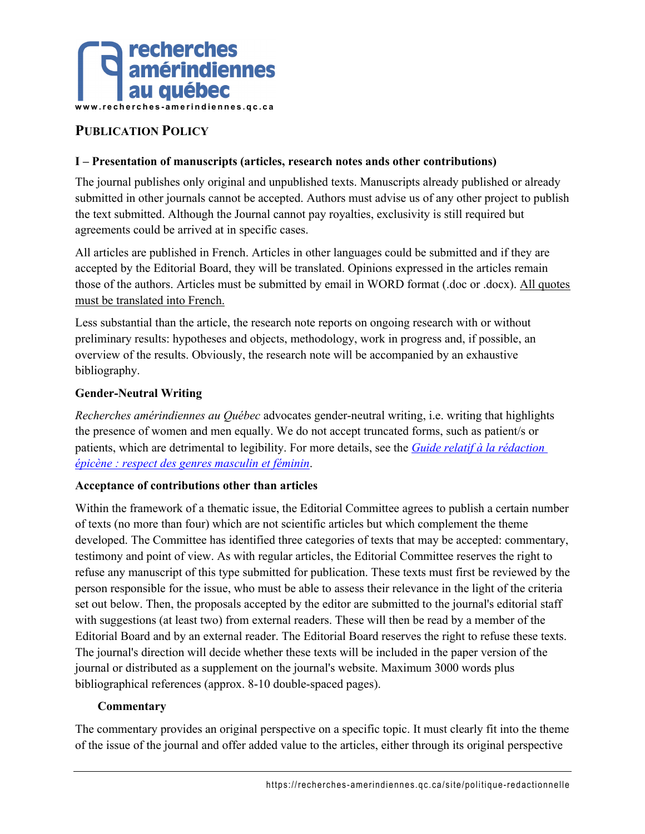

# **PUBLICATION POLICY**

#### **I – Presentation of manuscripts (articles, research notes ands other contributions)**

The journal publishes only original and unpublished texts. Manuscripts already published or already submitted in other journals cannot be accepted. Authors must advise us of any other project to publish the text submitted. Although the Journal cannot pay royalties, exclusivity is still required but agreements could be arrived at in specific cases.

All articles are published in French. Articles in other languages could be submitted and if they are accepted by the Editorial Board, they will be translated. Opinions expressed in the articles remain those of the authors. Articles must be submitted by email in WORD format (.doc or .docx). All quotes must be translated into French.

Less substantial than the article, the research note reports on ongoing research with or without preliminary results: hypotheses and objects, methodology, work in progress and, if possible, an overview of the results. Obviously, the research note will be accompanied by an exhaustive bibliography.

#### **Gender-Neutral Writing**

*Recherches amérindiennes au Québec* advocates gender-neutral writing, i.e. writing that highlights the presence of women and men equally. We do not accept truncated forms, such as patient/s or patients, which are detrimental to legibility. For more details, see the *Guide relatif à la rédaction épicène : respect des genres masculin et féminin*.

#### **Acceptance of contributions other than articles**

Within the framework of a thematic issue, the Editorial Committee agrees to publish a certain number of texts (no more than four) which are not scientific articles but which complement the theme developed. The Committee has identified three categories of texts that may be accepted: commentary, testimony and point of view. As with regular articles, the Editorial Committee reserves the right to refuse any manuscript of this type submitted for publication. These texts must first be reviewed by the person responsible for the issue, who must be able to assess their relevance in the light of the criteria set out below. Then, the proposals accepted by the editor are submitted to the journal's editorial staff with suggestions (at least two) from external readers. These will then be read by a member of the Editorial Board and by an external reader. The Editorial Board reserves the right to refuse these texts. The journal's direction will decide whether these texts will be included in the paper version of the journal or distributed as a supplement on the journal's website. Maximum 3000 words plus bibliographical references (approx. 8-10 double-spaced pages).

#### **Commentary**

The commentary provides an original perspective on a specific topic. It must clearly fit into the theme of the issue of the journal and offer added value to the articles, either through its original perspective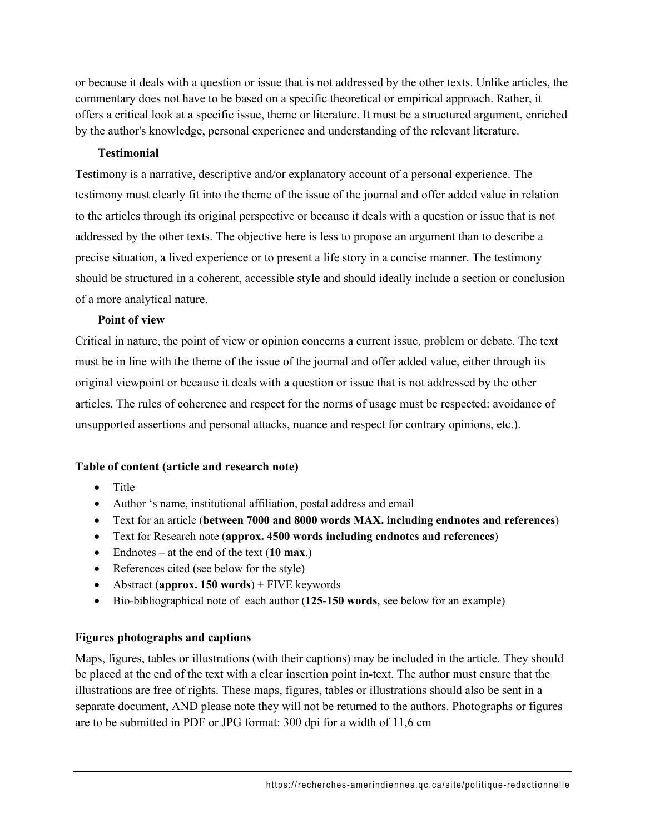or because it deals with a question or issue that is not addressed by the other texts. Unlike articles, the commentary does not have to be based on a specific theoretical or empirical approach. Rather, it offers a critical look at a specific issue, theme or literature. It must be a structured argument, enriched by the author's knowledge, personal experience and understanding of the relevant literature.

#### **Testimonial**

Testimony is a narrative, descriptive and/or explanatory account of a personal experience. The testimony must clearly fit into the theme of the issue of the journal and offer added value in relation to the articles through its original perspective or because it deals with a question or issue that is not addressed by the other texts. The objective here is less to propose an argument than to describe a precise situation, a lived experience or to present a life story in a concise manner. The testimony should be structured in a coherent, accessible style and should ideally include a section or conclusion of a more analytical nature.

#### **Point of view**

Critical in nature, the point of view or opinion concerns a current issue, problem or debate. The text must be in line with the theme of the issue of the journal and offer added value, either through its original viewpoint or because it deals with a question or issue that is not addressed by the other articles. The rules of coherence and respect for the norms of usage must be respected: avoidance of unsupported assertions and personal attacks, nuance and respect for contrary opinions, etc.).

## **Table of content (article and research note)**

- Title
- Author 's name, institutional affiliation, postal address and email
- Text for an article (**between 7000 and 8000 words MAX. including endnotes and references**)
- Text for Research note (**approx. 4500 words including endnotes and references**)
- Endnotes at the end of the text (**10 max**.)
- References cited (see below for the style)
- Abstract (**approx. 150 words**) + FIVE keywords
- Bio-bibliographical note of each author (**125-150 words**, see below for an example)

## **Figures photographs and captions**

Maps, figures, tables or illustrations (with their captions) may be included in the article. They should be placed at the end of the text with a clear insertion point in-text. The author must ensure that the illustrations are free of rights. These maps, figures, tables or illustrations should also be sent in a separate document, AND please note they will not be returned to the authors. Photographs or figures are to be submitted in PDF or JPG format: 300 dpi for a width of 11,6 cm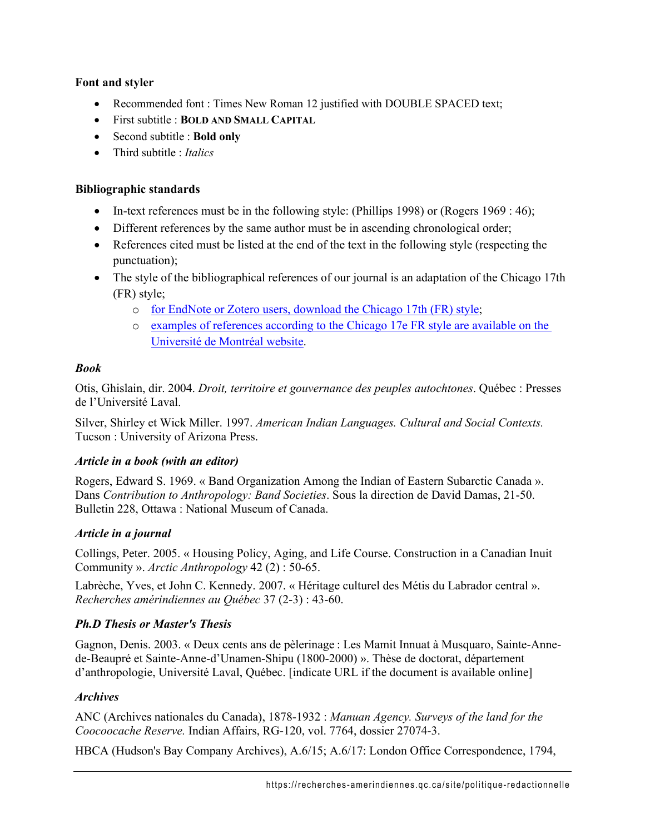## **Font and styler**

- Recommended font : Times New Roman 12 justified with DOUBLE SPACED text;
- First subtitle : **BOLD AND SMALL CAPITAL**
- Second subtitle : **Bold only**
- Third subtitle : *Italics*

#### **Bibliographic standards**

- In-text references must be in the following style: (Phillips 1998) or (Rogers 1969 : 46);
- Different references by the same author must be in ascending chronological order;
- References cited must be listed at the end of the text in the following style (respecting the punctuation);
- The style of the bibliographical references of our journal is an adaptation of the Chicago 17th (FR) style;
	- o for EndNote or Zotero users, download the Chicago 17th (FR) style;
	- o examples of references according to the Chicago 17e FR style are available on the Université de Montréal website.

## *Book*

Otis, Ghislain, dir. 2004. *Droit, territoire et gouvernance des peuples autochtones*. Québec : Presses de l'Université Laval.

Silver, Shirley et Wick Miller. 1997. *American Indian Languages. Cultural and Social Contexts.* Tucson : University of Arizona Press.

## *Article in a book (with an editor)*

Rogers, Edward S. 1969. « Band Organization Among the Indian of Eastern Subarctic Canada ». Dans *Contribution to Anthropology: Band Societies*. Sous la direction de David Damas, 21-50. Bulletin 228, Ottawa : National Museum of Canada.

## *Article in a journal*

Collings, Peter. 2005. « Housing Policy, Aging, and Life Course. Construction in a Canadian Inuit Community ». *Arctic Anthropology* 42 (2) : 50-65.

Labrèche, Yves, et John C. Kennedy. 2007. « Héritage culturel des Métis du Labrador central ». *Recherches amérindiennes au Québec* 37 (2-3) : 43-60.

## *Ph.D Thesis or Master's Thesis*

Gagnon, Denis. 2003. « Deux cents ans de pèlerinage : Les Mamit Innuat à Musquaro, Sainte-Annede-Beaupré et Sainte-Anne-d'Unamen-Shipu (1800-2000) ». Thèse de doctorat, département d'anthropologie, Université Laval, Québec. [indicate URL if the document is available online]

## *Archives*

ANC (Archives nationales du Canada), 1878-1932 : *Manuan Agency. Surveys of the land for the Coocoocache Reserve.* Indian Affairs, RG-120, vol. 7764, dossier 27074-3.

HBCA (Hudson's Bay Company Archives), A.6/15; A.6/17: London Office Correspondence, 1794,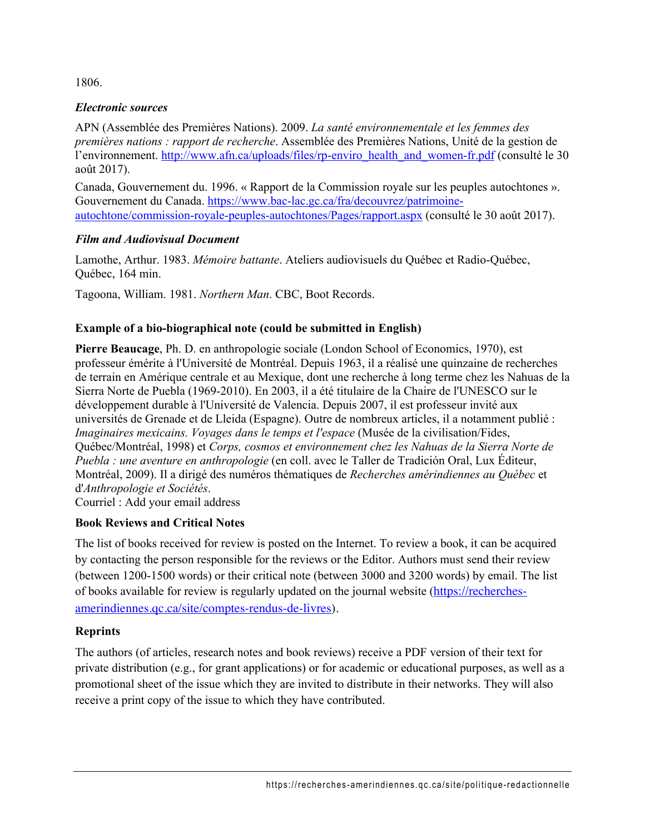1806.

## *Electronic sources*

APN (Assemblée des Premières Nations). 2009. *La santé environnementale et les femmes des premières nations : rapport de recherche*. Assemblée des Premières Nations, Unité de la gestion de l'environnement. http://www.afn.ca/uploads/files/rp-enviro\_health\_and\_women-fr.pdf (consulté le 30) août 2017).

Canada, Gouvernement du. 1996. « Rapport de la Commission royale sur les peuples autochtones ». Gouvernement du Canada. https://www.bac-lac.gc.ca/fra/decouvrez/patrimoineautochtone/commission-royale-peuples-autochtones/Pages/rapport.aspx (consulté le 30 août 2017).

## *Film and Audiovisual Document*

Lamothe, Arthur. 1983. *Mémoire battante*. Ateliers audiovisuels du Québec et Radio-Québec, Québec, 164 min.

Tagoona, William. 1981. *Northern Man*. CBC, Boot Records.

# **Example of a bio-biographical note (could be submitted in English)**

**Pierre Beaucage**, Ph. D. en anthropologie sociale (London School of Economics, 1970), est professeur émérite à l'Université de Montréal. Depuis 1963, il a réalisé une quinzaine de recherches de terrain en Amérique centrale et au Mexique, dont une recherche à long terme chez les Nahuas de la Sierra Norte de Puebla (1969-2010). En 2003, il a été titulaire de la Chaire de l'UNESCO sur le développement durable à l'Université de Valencia. Depuis 2007, il est professeur invité aux universités de Grenade et de Lleida (Espagne). Outre de nombreux articles, il a notamment publié : *Imaginaires mexicains. Voyages dans le temps et l'espace* (Musée de la civilisation/Fides, Québec/Montréal, 1998) et *Corps, cosmos et environnement chez les Nahuas de la Sierra Norte de Puebla : une aventure en anthropologie* (en coll. avec le Taller de Tradición Oral, Lux Éditeur, Montréal, 2009). Il a dirigé des numéros thématiques de *Recherches amérindiennes au Québec* et d'*Anthropologie et Sociétés*.

Courriel : Add your email address

# **Book Reviews and Critical Notes**

The list of books received for review is posted on the Internet. To review a book, it can be acquired by contacting the person responsible for the reviews or the Editor. Authors must send their review (between 1200-1500 words) or their critical note (between 3000 and 3200 words) by email. The list of books available for review is regularly updated on the journal website (https://recherchesamerindiennes.qc.ca/site/comptes-rendus-de-livres).

# **Reprints**

The authors (of articles, research notes and book reviews) receive a PDF version of their text for private distribution (e.g., for grant applications) or for academic or educational purposes, as well as a promotional sheet of the issue which they are invited to distribute in their networks. They will also receive a print copy of the issue to which they have contributed.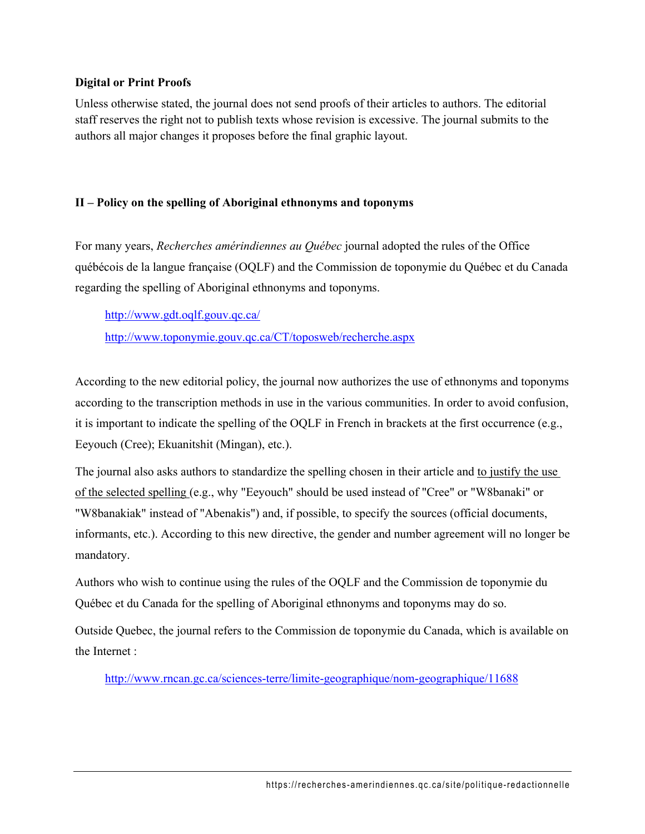#### **Digital or Print Proofs**

Unless otherwise stated, the journal does not send proofs of their articles to authors. The editorial staff reserves the right not to publish texts whose revision is excessive. The journal submits to the authors all major changes it proposes before the final graphic layout.

## **II – Policy on the spelling of Aboriginal ethnonyms and toponyms**

For many years, *Recherches amérindiennes au Québec* journal adopted the rules of the Office québécois de la langue française (OQLF) and the Commission de toponymie du Québec et du Canada regarding the spelling of Aboriginal ethnonyms and toponyms.

http://www.gdt.oqlf.gouv.qc.ca/

http://www.toponymie.gouv.qc.ca/CT/toposweb/recherche.aspx

According to the new editorial policy, the journal now authorizes the use of ethnonyms and toponyms according to the transcription methods in use in the various communities. In order to avoid confusion, it is important to indicate the spelling of the OQLF in French in brackets at the first occurrence (e.g., Eeyouch (Cree); Ekuanitshit (Mingan), etc.).

The journal also asks authors to standardize the spelling chosen in their article and to justify the use of the selected spelling (e.g., why "Eeyouch" should be used instead of "Cree" or "W8banaki" or "W8banakiak" instead of "Abenakis") and, if possible, to specify the sources (official documents, informants, etc.). According to this new directive, the gender and number agreement will no longer be mandatory.

Authors who wish to continue using the rules of the OQLF and the Commission de toponymie du Québec et du Canada for the spelling of Aboriginal ethnonyms and toponyms may do so.

Outside Quebec, the journal refers to the Commission de toponymie du Canada, which is available on the Internet :

http://www.rncan.gc.ca/sciences-terre/limite-geographique/nom-geographique/11688